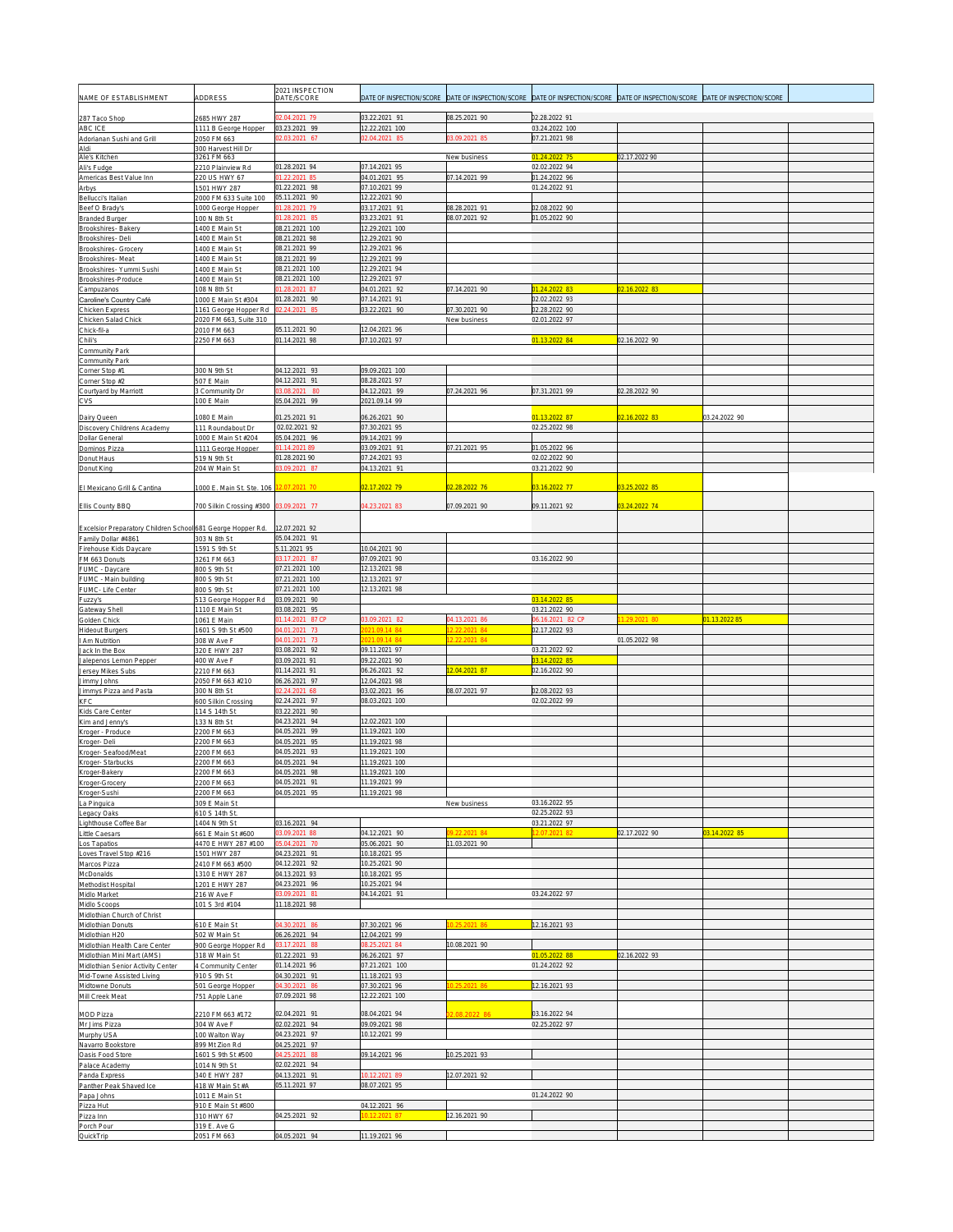| NAME OF ESTABLISHMENT                                                              | ADDRESS                                        | 2021 INSPECTION<br>DATE/SCORE   | DATE OF INSPECTION/SCORE        | DATE OF INSPECTION/SCORE       | DATE OF INSPECTION/SCORE        | DATE OF INSPECTION/SCORE | DATE OF INSPECTION/SCORE |  |
|------------------------------------------------------------------------------------|------------------------------------------------|---------------------------------|---------------------------------|--------------------------------|---------------------------------|--------------------------|--------------------------|--|
|                                                                                    |                                                |                                 |                                 |                                |                                 |                          |                          |  |
| 287 Taco Shop<br>ABC ICE                                                           | 2685 HWY 287<br>1111 B George Hopper           | 2.04.2021 79<br>03.23.2021 99   | 03.22.2021 91<br>12.22.2021 100 | 08.25.2021 90                  | 02.28.2022 91<br>03.24.2022 100 |                          |                          |  |
| Adorianan Sushi and Grill                                                          | 2050 FM 663                                    | 2.03.2021 67                    | 02.04.2021 85                   | 3.09.2021 85                   | 07.21.2021 98                   |                          |                          |  |
| Aldi<br>Ale's Kitchen                                                              | 300 Harvest Hill Dr<br>3261 FM 663             |                                 |                                 | New business                   | 01.24.2022 75                   | 02.17.2022 90            |                          |  |
| Ali's Fudge                                                                        | 2210 Plainview Rd                              | 01.28.2021 94                   | 07.14.2021 95                   |                                | 02.02.2022 94                   |                          |                          |  |
| Americas Best Value Inn<br><b>Arbys</b>                                            | 220 US HWY 67<br>501 HWY 287                   | 1.22.2021 85<br>01.22.2021 98   | 04.01.2021 95<br>07.10.2021 99  | 07.14.2021 99                  | 01.24.2022 96<br>01.24.2022 91  |                          |                          |  |
| Bellucci's Italian                                                                 | 2000 FM 633 Suite 100                          | 05.11.2021 90                   | 2.22.2021 90                    |                                |                                 |                          |                          |  |
| Beef O Brady's<br><b>Branded Burger</b>                                            | 1000 George Hopper<br>100 N 8th St             | 01.28.2021 79<br>1.28.2021 85   | 03.17.2021 91<br>03.23.2021 91  | 08.28.2021 91<br>08.07.2021 92 | 02.08.2022 90<br>01.05.2022 90  |                          |                          |  |
| Brookshires-Bakery                                                                 | 400 E Main St                                  | 08.21.2021 100                  | 2.29.2021 100                   |                                |                                 |                          |                          |  |
| Brookshires-Del                                                                    | 400 E Main St<br>400 E Main St                 | 08.21.2021 98                   | 2.29.2021 90<br>2.29.2021 96    |                                |                                 |                          |                          |  |
| Brookshires- Grocery<br>Brookshires-Meat                                           | 400 E Main St                                  | 08.21.2021 99<br>08.21.2021 99  | 2.29.2021 99                    |                                |                                 |                          |                          |  |
| Brookshires- Yummi Sushi                                                           | 400 E Main St                                  | 08.21.2021 100                  | 12.29.2021 94                   |                                |                                 |                          |                          |  |
| Brookshires-Produce<br>Campuzanos                                                  | 400 E Main St<br>08 N 8th St                   | 08.21.2021 100<br>1.28.2021 87  | 12.29.2021 97<br>04.01.2021 92  | 07.14.2021 90                  | 01.24.2022 83                   | 02.16.2022 83            |                          |  |
| Caroline's Country Café                                                            | 1000 E Main St #304                            | 01.28.2021 90                   | 07.14.2021 91                   |                                | 02.02.2022 93                   |                          |                          |  |
| Chicken Express<br>Chicken Salad Chick                                             | 161 George Hopper Rd<br>2020 FM 663, Suite 310 | 02.24.2021 85                   | 03.22.2021 90                   | 07.30.2021 90<br>New business  | 02.28.2022 90<br>02.01.2022 97  |                          |                          |  |
| Chick-fil-a                                                                        | 2010 FM 663                                    | 05.11.2021 90                   | 12.04.2021 96                   |                                |                                 |                          |                          |  |
| Chili's<br>Community Park                                                          | 2250 FM 663                                    | 01.14.2021 98                   | 07.10.2021 97                   |                                | 01.13.2022 84                   | 02.16.2022 90            |                          |  |
| Community Park                                                                     |                                                |                                 |                                 |                                |                                 |                          |                          |  |
| Corner Stop #1<br>Corner Stop #2                                                   | 300 N 9th St<br>507 E Main                     | 04.12.2021 93<br>04.12.2021 91  | 09.09.2021 100<br>08.28.2021 97 |                                |                                 |                          |                          |  |
| Courtyard by Marriott                                                              | 3 Community Dr                                 | 3.08.2021 80                    | 04.12.2021 99                   | 07.24.2021 96                  | 07.31.2021 99                   | 02.28.2022 90            |                          |  |
| <b>CVS</b>                                                                         | 100 E Main                                     | 05.04.2021 99                   | 2021.09.14 99                   |                                |                                 |                          |                          |  |
| Dairy Queen                                                                        | 080 E Main                                     | 01.25.2021 91                   | 06.26.2021 90                   |                                | 01.13.2022 87                   | 02.16.2022 83            | 03.24.2022 90            |  |
| Discovery Childrens Academy<br><b>Dollar General</b>                               | 111 Roundabout Dr<br>1000 E Main St #204       | 02.02.2021 92<br>05.04.2021 96  | 07.30.2021 95<br>09.14.2021 99  |                                | 02.25.2022 98                   |                          |                          |  |
| Dominos Pizza                                                                      | 1111 George Hopper                             | 01.14.2021 89                   | 03.09.2021 91                   | 07.21.2021 95                  | 01.05.2022 96                   |                          |                          |  |
| Donut Haus<br>Donut King                                                           | 519 N 9th St<br>204 W Main St                  | 01.28.2021 90<br>3.09.2021 87   | 07.24.2021 93<br>04.13.2021 91  |                                | 02.02.2022 90<br>03.21.2022 90  |                          |                          |  |
|                                                                                    |                                                |                                 |                                 |                                |                                 |                          |                          |  |
| El Mexicano Grill & Cantina                                                        | 1000 E. Main St. Ste. 106                      | 2.07.2021 70                    | 02.17.2022 79                   | 02.28.2022 76                  | 03.16.2022 77                   | 03.25.2022 85            |                          |  |
| Ellis County BBQ                                                                   | 700 Silkin Crossing #300                       | 3.09.2021 77                    | 04.23.2021 83                   | 07.09.2021 90                  | 09.11.2021 92                   | 3.24.2022 74             |                          |  |
|                                                                                    |                                                |                                 |                                 |                                |                                 |                          |                          |  |
| Excelsior Preparatory Children School 681 George Hopper Rd.<br>Family Dollar #4861 | 303 N 8th St                                   | 12.07.2021 92<br>05.04.2021 91  |                                 |                                |                                 |                          |                          |  |
| Firehouse Kids Daycare                                                             | 1591 S 9th St                                  | 5.11.2021 95                    | 10.04.2021 90                   |                                |                                 |                          |                          |  |
| FM 663 Donuts<br>FUMC - Daycare                                                    | 3261 FM 663<br>300 S 9th St                    | 3.17.2021 87<br>07.21.2021 100  | 07.09.2021 90<br>2.13.2021 98   |                                | 03.16.2022 90                   |                          |                          |  |
| FUMC - Main building                                                               | 800 S 9th St                                   | 07.21.2021 100                  | 12.13.2021 97                   |                                |                                 |                          |                          |  |
| FUMC- Life Center<br>Fuzzy's                                                       | 800 S 9th St<br>513 George Hopper Rd           | 07.21.2021 100<br>03.09.2021 90 | 12.13.2021 98                   |                                | 03.14.2022 85                   |                          |                          |  |
| Gateway Shell                                                                      | 1110 E Main St                                 | 03.08.2021 95                   |                                 |                                | 03.21.2022 90                   |                          |                          |  |
|                                                                                    |                                                |                                 |                                 |                                |                                 |                          |                          |  |
| Golden Chick                                                                       | 1061 E Main                                    | 1.14.2021 87 CP                 | 3.09.2021 82                    | 04.13.2021 86                  | 06.16.2021 82 CP                | 29.2021.80               | 01.13.2022 85            |  |
| Hideout Burgers<br>I Am Nutrition                                                  | 1601 S 9th St #500<br>308 W Ave F              | 4.01.2021 73<br>4.01.2021 73    | 21.09.14 84<br>21.09.14 84      | 2.22.2021 84<br>2.22.2021 84   | 02.17.2022 93                   | 01.05.2022 98            |                          |  |
| Jack In the Box                                                                    | 320 E HWY 287                                  | 03.08.2021 92                   | 09.11.2021 97                   |                                | 03.21.2022 92                   |                          |                          |  |
| Jalepenos Lemon Pepper                                                             | 400 W Ave F                                    | 03.09.2021 91                   | 09.22.2021 90                   | 2.04.2021 87                   | 03.14.2022 85                   |                          |                          |  |
| Jersey Mikes Subs<br>Jimmy Johns                                                   | 2210 FM 663<br>2050 FM 663 #210                | 01.14.2021 91<br>06.26.2021 97  | 06.26.2021 92<br>12.04.2021 98  |                                | 02.16.2022 90                   |                          |                          |  |
| Jimmys Pizza and Pasta                                                             | 300 N 8th St                                   | 2.24.2021 68                    | 03.02.2021 96                   | 08.07.2021 97                  | 02.08.2022 93                   |                          |                          |  |
| KFC<br>Kids Care Center                                                            | 500 Silkin Crossing<br>114 S 14th St           | 02.24.2021 97<br>03.22.2021 90  | 08.03.2021 100                  |                                | 02.02.2022 99                   |                          |                          |  |
| Kim and Jenny's                                                                    | 133 N 8th St                                   | 04.23.2021 94                   | 12.02.2021 100                  |                                |                                 |                          |                          |  |
| Kroger - Produce<br>Kroger-Deli                                                    | 2200 FM 663<br>200 FM 663                      | 04.05.2021 99<br>04.05.2021 95  | 11.19.2021 100<br>11.19.2021 98 |                                |                                 |                          |                          |  |
| Kroger-Seafood/Meat                                                                | 200 FM 663                                     | 04.05.2021 93                   | 11.19.2021 100                  |                                |                                 |                          |                          |  |
| Kroger-Starbucks                                                                   | 2200 FM 663                                    | 04.05.2021 94                   | 11.19.2021 100                  |                                |                                 |                          |                          |  |
| Kroger-Bakery<br>Kroger-Grocery                                                    | 2200 FM 663<br>200 FM 663                      | 04.05.2021 98<br>04.05.2021 91  | 11.19.2021 100<br>11.19.2021 99 |                                |                                 |                          |                          |  |
| Kroger-Sushi                                                                       | 2200 FM 663                                    | 04.05.2021 95                   | 11.19.2021 98                   |                                |                                 |                          |                          |  |
| La Pinguica<br>Legacy Oaks                                                         | 309 E Main St<br>10 S 14th St.                 |                                 |                                 | New business                   | 03.16.2022 95<br>02.25.2022 93  |                          |                          |  |
| Lighthouse Coffee Bar                                                              | 404 N 9th St                                   | 03.16.2021 94                   |                                 |                                | 03.21.2022 97                   |                          |                          |  |
| Little Caesars<br>Los Tapatios                                                     | 661 E Main St #600<br>4470 E HWY 287 #100      | 3.09.2021 88<br>5.04.2021 70    | 04.12.2021 90<br>05.06.2021 90  | 2.22.2021 84<br>11.03.2021 90  | 2.07.2021 82                    | 02.17.2022 90            | 3.14.2022 85             |  |
| Loves Travel Stop #216                                                             | 1501 HWY 287                                   | 04.23.2021 91                   | 10.18.2021 95                   |                                |                                 |                          |                          |  |
| Marcos Pizza<br><b>McDonalds</b>                                                   | 2410 FM 663 #500<br>310 E HWY 287              | 04.12.2021 92<br>04.13.2021 93  | 0.25.2021 90<br>10.18.2021 95   |                                |                                 |                          |                          |  |
| Methodist Hospital                                                                 | 201 E HWY 287                                  | 04.23.2021 96                   | 10.25.2021 94                   |                                |                                 |                          |                          |  |
| Midlo Market                                                                       | 216 W Ave F                                    | 3.09.2021 81                    | 04.14.2021 91                   |                                | 03.24.2022 97                   |                          |                          |  |
| Midlo Scoops<br>Midlothian Church of Christ                                        | 101 S 3rd #104                                 | 1.18.2021 98                    |                                 |                                |                                 |                          |                          |  |
| Midlothian Donuts                                                                  | 610 E Main St                                  | 4.30.2021 86                    | 07.30.2021 96                   |                                | 12.16.2021 93                   |                          |                          |  |
| Midlothian H20<br>Midlothian Health Care Center                                    | 502 W Main St<br>900 George Hopper Rd          | 06.26.2021 94<br>03.17.2021 88  | 12.04.2021 99<br>8.25.2021 84   | 10.08.2021 90                  |                                 |                          |                          |  |
| Midlothian Mini Mart (AMS)                                                         | 318 W Main St                                  | 01.22.2021 93                   | 06.26.2021 97                   |                                | 01.05.2022 88                   | 02.16.2022 93            |                          |  |
| Midlothian Senior Activity Center                                                  | 4 Community Center<br>910 S 9th St             | 01.14.2021 96<br>04.30.2021 91  | 07.21.2021 100<br>11.18.2021 93 |                                | 01.24.2022 92                   |                          |                          |  |
| Mid-Towne Assisted Living<br>Midtowne Donuts                                       | 501 George Hopper                              | 4.30.2021 86                    | 07.30.2021 96                   | .25.2021 86                    | 12.16.2021 93                   |                          |                          |  |
| Mill Creek Meat                                                                    | 751 Apple Lane                                 | 07.09.2021 98                   | 12.22.2021 100                  |                                |                                 |                          |                          |  |
| <b>MOD Pizza</b>                                                                   | 210 FM 663 #172                                | 02.04.2021 91                   | 08.04.2021 94                   | 08.2022                        | 03.16.2022 94                   |                          |                          |  |
| Mr Jims Pizza<br>Murphy USA                                                        | 304 W Ave F<br>100 Walton Way                  | 02.02.2021 94<br>04.23.2021 97  | 09.09.2021 98<br>10.12.2021 99  |                                | 02.25.2022 97                   |                          |                          |  |
| Navarro Bookstore                                                                  | 899 Mt Zion Rd                                 | 04.25.2021 97                   |                                 |                                |                                 |                          |                          |  |
| Oasis Food Store                                                                   | 601 S 9th St #500                              | 4.25.2021 88                    | 09.14.2021 96                   | 10.25.2021 93                  |                                 |                          |                          |  |
| Palace Academy<br>Panda Express                                                    | 014 N 9th St<br>340 E HWY 287                  | 02.02.2021 94<br>04.13.2021 91  | 0.12.2021 89                    | 12.07.2021 92                  |                                 |                          |                          |  |
| Panther Peak Shaved Ice                                                            | 418 W Main St #A                               | 05.11.2021 97                   | 08.07.2021 95                   |                                |                                 |                          |                          |  |
| Papa Johns<br>Pizza Hut                                                            | 1011 E Main St<br>910 E Main St #800           |                                 | 04.12.2021 96                   |                                | 01.24.2022 90                   |                          |                          |  |
| Pizza Inn<br>Porch Pour                                                            | 310 HWY 67<br>319 E. Ave G                     | 04.25.2021 92                   |                                 | 12.16.2021 90                  |                                 |                          |                          |  |